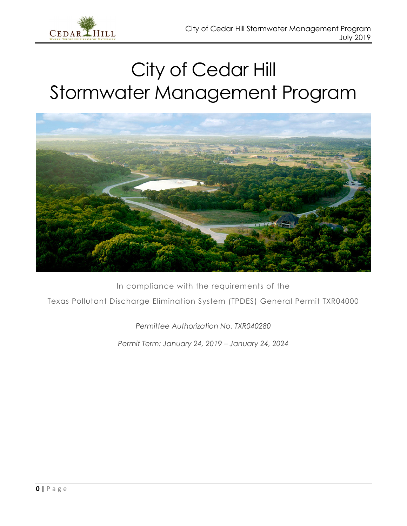



In compliance with the requirements of the Texas Pollutant Discharge Elimination System (TPDES) General Permit TXR04000

*Permittee Authorization No. TXR040280*

*Permit Term: January 24, 2019 – January 24, 2024*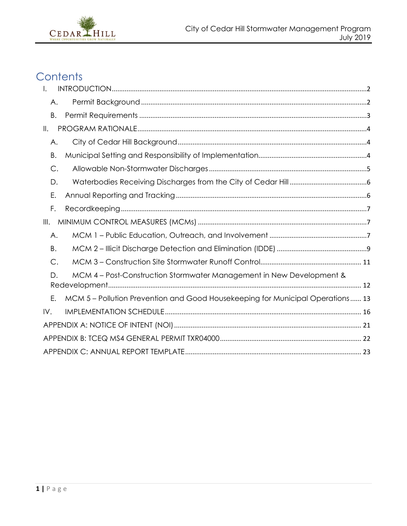

## Contents

| I.            |                                                                                |
|---------------|--------------------------------------------------------------------------------|
| Α.            |                                                                                |
| Β.            |                                                                                |
| $\parallel$ . |                                                                                |
| Α.            |                                                                                |
| Β.            |                                                                                |
| $\mathsf{C}.$ |                                                                                |
| D.            |                                                                                |
| Ε.            |                                                                                |
| F.            |                                                                                |
| III.          |                                                                                |
| Α.            |                                                                                |
| B.            |                                                                                |
| C.            |                                                                                |
| D.            | MCM 4 – Post-Construction Stormwater Management in New Development &           |
| Ε.            | MCM 5 – Pollution Prevention and Good Housekeeping for Municipal Operations 13 |
| IV.           |                                                                                |
|               |                                                                                |
|               |                                                                                |
|               |                                                                                |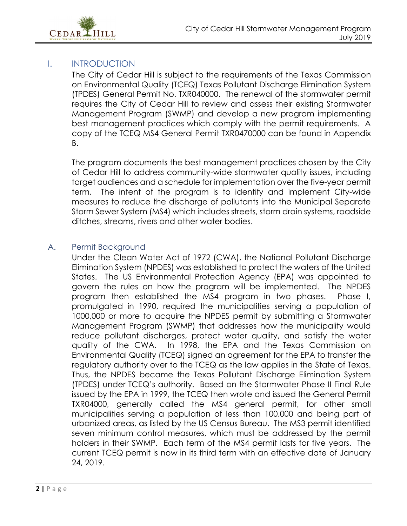

#### <span id="page-2-0"></span>I. INTRODUCTION

The City of Cedar Hill is subject to the requirements of the Texas Commission on Environmental Quality (TCEQ) Texas Pollutant Discharge Elimination System (TPDES) General Permit No. TXR040000. The renewal of the stormwater permit requires the City of Cedar Hill to review and assess their existing Stormwater Management Program (SWMP) and develop a new program implementing best management practices which comply with the permit requirements. A copy of the TCEQ MS4 General Permit TXR0470000 can be found in Appendix B.

The program documents the best management practices chosen by the City of Cedar Hill to address community-wide stormwater quality issues, including target audiences and a schedule for implementation over the five-year permit term. The intent of the program is to identify and implement City-wide measures to reduce the discharge of pollutants into the Municipal Separate Storm Sewer System (MS4) which includes streets, storm drain systems, roadside ditches, streams, rivers and other water bodies.

#### <span id="page-2-1"></span>A. Permit Background

Under the Clean Water Act of 1972 (CWA), the National Pollutant Discharge Elimination System (NPDES) was established to protect the waters of the United States. The US Environmental Protection Agency (EPA) was appointed to govern the rules on how the program will be implemented. The NPDES program then established the MS4 program in two phases. Phase I, promulgated in 1990, required the municipalities serving a population of 1000,000 or more to acquire the NPDES permit by submitting a Stormwater Management Program (SWMP) that addresses how the municipality would reduce pollutant discharges, protect water quality, and satisfy the water quality of the CWA. In 1998, the EPA and the Texas Commission on Environmental Quality (TCEQ) signed an agreement for the EPA to transfer the regulatory authority over to the TCEQ as the law applies in the State of Texas. Thus, the NPDES became the Texas Pollutant Discharge Elimination System (TPDES) under TCEQ's authority. Based on the Stormwater Phase II Final Rule issued by the EPA in 1999, the TCEQ then wrote and issued the General Permit TXR04000, generally called the MS4 general permit, for other small municipalities serving a population of less than 100,000 and being part of urbanized areas, as listed by the US Census Bureau. The MS3 permit identified seven minimum control measures, which must be addressed by the permit holders in their SWMP. Each term of the MS4 permit lasts for five years. The current TCEQ permit is now in its third term with an effective date of January 24, 2019.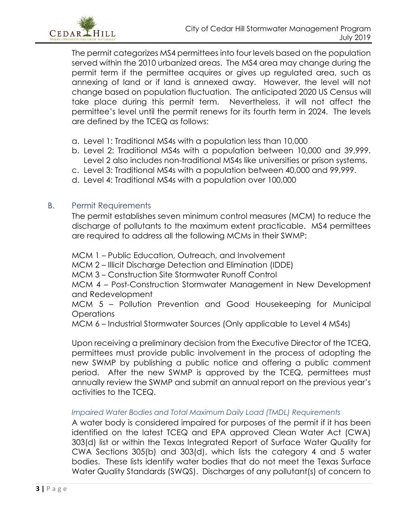

The permit categorizes MS4 permittees into four levels based on the population served within the 2010 urbanized areas. The MS4 area may change during the permit term if the permittee acquires or gives up regulated area, such as annexing of land or if land is annexed away. However, the level will not change based on population fluctuation. The anticipated 2020 US Census will take place during this permit term. Nevertheless, it will not affect the permittee's level until the permit renews for its fourth term in 2024. The levels are defined by the TCEQ as follows:

- a. Level 1: Traditional MS4s with a population less than 10,000
- b. Level 2: Traditional MS4s with a population between 10,000 and 39,999. Level 2 also includes non-traditional MS4s like universities or prison systems.
- c. Level 3: Traditional MS4s with a population between 40,000 and 99,999.
- d. Level 4: Traditional MS4s with a population over 100,000

#### <span id="page-3-0"></span>B. Permit Requirements

The permit establishes seven minimum control measures (MCM) to reduce the discharge of pollutants to the maximum extent practicable. MS4 permittees are required to address all the following MCMs in their SWMP:

MCM 1 – Public Education, Outreach, and Involvement

MCM 2 – Illicit Discharge Detection and Elimination (IDDE)

MCM 3 – Construction Site Stormwater Runoff Control

MCM 4 – Post-Construction Stormwater Management in New Development and Redevelopment

MCM 5 – Pollution Prevention and Good Housekeeping for Municipal **Operations** 

MCM 6 – Industrial Stormwater Sources (Only applicable to Level 4 MS4s)

Upon receiving a preliminary decision from the Executive Director of the TCEQ, permittees must provide public involvement in the process of adopting the new SWMP by publishing a public notice and offering a public comment period. After the new SWMP is approved by the TCEQ, permittees must annually review the SWMP and submit an annual report on the previous year's activities to the TCEQ.

*Impaired Water Bodies and Total Maximum Daily Load (TMDL) Requirements*

A water body is considered impaired for purposes of the permit if it has been identified on the latest TCEQ and EPA approved Clean Water Act (CWA) 303(d) list or within the Texas Integrated Report of Surface Water Quality for CWA Sections 305(b) and 303(d), which lists the category 4 and 5 water bodies. These lists identify water bodies that do not meet the Texas Surface Water Quality Standards (SWQS). Discharges of any pollutant(s) of concern to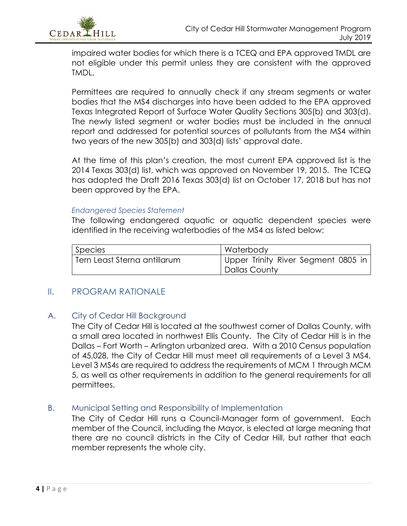impaired water bodies for which there is a TCEQ and EPA approved TMDL are not eligible under this permit unless they are consistent with the approved TMDL.

Permittees are required to annually check if any stream segments or water bodies that the MS4 discharges into have been added to the EPA approved Texas Integrated Report of Surface Water Quality Sections 305(b) and 303(d). The newly listed segment or water bodies must be included in the annual report and addressed for potential sources of pollutants from the MS4 within two years of the new 305(b) and 303(d) lists' approval date.

At the time of this plan's creation, the most current EPA approved list is the 2014 Texas 303(d) list, which was approved on November 19, 2015. The TCEQ has adopted the Draft 2016 Texas 303(d) list on October 17, 2018 but has not been approved by the EPA.

#### *Endangered Species Statement*

The following endangered aquatic or aquatic dependent species were identified in the receiving waterbodies of the MS4 as listed below:

| Species                      | <b>Waterbody</b>                    |
|------------------------------|-------------------------------------|
| Tern Least Sterna antillarum | Upper Trinity River Segment 0805 in |
|                              | Dallas County                       |

#### <span id="page-4-0"></span>II. PROGRAM RATIONALE

#### <span id="page-4-1"></span>A. City of Cedar Hill Background

The City of Cedar Hill is located at the southwest corner of Dallas County, with a small area located in northwest Ellis County. The City of Cedar Hill is in the Dallas – Fort Worth – Arlington urbanized area. With a 2010 Census population of 45,028, the City of Cedar Hill must meet all requirements of a Level 3 MS4. Level 3 MS4s are required to address the requirements of MCM 1 through MCM 5, as well as other requirements in addition to the general requirements for all permittees.

#### <span id="page-4-2"></span>B. Municipal Setting and Responsibility of Implementation

The City of Cedar Hill runs a Council-Manager form of government. Each member of the Council, including the Mayor, is elected at large meaning that there are no council districts in the City of Cedar Hill, but rather that each member represents the whole city.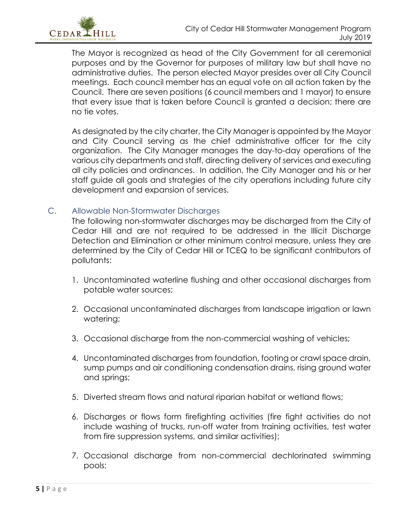

The Mayor is recognized as head of the City Government for all ceremonial purposes and by the Governor for purposes of military law but shall have no administrative duties. The person elected Mayor presides over all City Council meetings. Each council member has an equal vote on all action taken by the Council. There are seven positions (6 council members and 1 mayor) to ensure that every issue that is taken before Council is granted a decision; there are no tie votes.

As designated by the city charter, the City Manager is appointed by the Mayor and City Council serving as the chief administrative officer for the city organization. The City Manager manages the day-to-day operations of the various city departments and staff, directing delivery of services and executing all city policies and ordinances. In addition, the City Manager and his or her staff guide all goals and strategies of the city operations including future city development and expansion of services.

#### <span id="page-5-0"></span>C. Allowable Non-Stormwater Discharges

The following non-stormwater discharges may be discharged from the City of Cedar Hill and are not required to be addressed in the Illicit Discharge Detection and Elimination or other minimum control measure, unless they are determined by the City of Cedar Hill or TCEQ to be significant contributors of pollutants:

- 1. Uncontaminated waterline flushing and other occasional discharges from potable water sources;
- 2. Occasional uncontaminated discharges from landscape irrigation or lawn watering;
- 3. Occasional discharge from the non-commercial washing of vehicles;
- 4. Uncontaminated discharges from foundation, footing or crawl space drain, sump pumps and air conditioning condensation drains, rising ground water and springs;
- 5. Diverted stream flows and natural riparian habitat or wetland flows;
- 6. Discharges or flows form firefighting activities (fire fight activities do not include washing of trucks, run-off water from training activities, test water from fire suppression systems, and similar activities);
- 7. Occasional discharge from non-commercial dechlorinated swimming pools;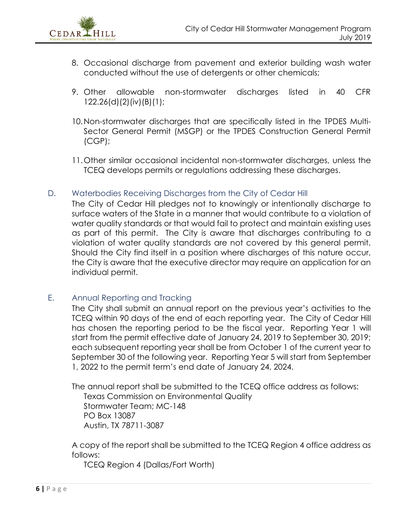

- 8. Occasional discharge from pavement and exterior building wash water conducted without the use of detergents or other chemicals;
- 9. Other allowable non-stormwater discharges listed in 40 CFR 122.26(d)(2)(iv)(B)(1);
- 10.Non-stormwater discharges that are specifically listed in the TPDES Multi-Sector General Permit (MSGP) or the TPDES Construction General Permit (CGP);
- 11.Other similar occasional incidental non-stormwater discharges, unless the TCEQ develops permits or regulations addressing these discharges.
- <span id="page-6-0"></span>D. Waterbodies Receiving Discharges from the City of Cedar Hill

The City of Cedar Hill pledges not to knowingly or intentionally discharge to surface waters of the State in a manner that would contribute to a violation of water quality standards or that would fail to protect and maintain existing uses as part of this permit. The City is aware that discharges contributing to a violation of water quality standards are not covered by this general permit. Should the City find itself in a position where discharges of this nature occur, the City is aware that the executive director may require an application for an individual permit.

<span id="page-6-1"></span>E. Annual Reporting and Tracking

The City shall submit an annual report on the previous year's activities to the TCEQ within 90 days of the end of each reporting year. The City of Cedar Hill has chosen the reporting period to be the fiscal year. Reporting Year 1 will start from the permit effective date of January 24, 2019 to September 30, 2019; each subsequent reporting year shall be from October 1 of the current year to September 30 of the following year. Reporting Year 5 will start from September 1, 2022 to the permit term's end date of January 24, 2024.

The annual report shall be submitted to the TCEQ office address as follows: Texas Commission on Environmental Quality Stormwater Team; MC-148 PO Box 13087 Austin, TX 78711-3087

A copy of the report shall be submitted to the TCEQ Region 4 office address as follows:

TCEQ Region 4 (Dallas/Fort Worth)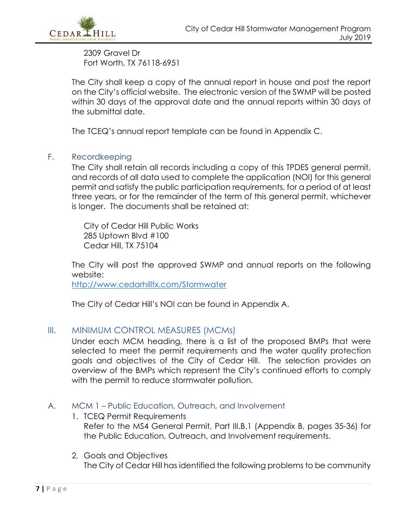

2309 Gravel Dr Fort Worth, TX 76118-6951

The City shall keep a copy of the annual report in house and post the report on the City's official website. The electronic version of the SWMP will be posted within 30 days of the approval date and the annual reports within 30 days of the submittal date.

The TCEQ's annual report template can be found in Appendix C.

#### <span id="page-7-0"></span>F. Recordkeeping

The City shall retain all records including a copy of this TPDES general permit, and records of all data used to complete the application (NOI) for this general permit and satisfy the public participation requirements, for a period of at least three years, or for the remainder of the term of this general permit, whichever is longer. The documents shall be retained at:

City of Cedar Hill Public Works 285 Uptown Blvd #100 Cedar Hill, TX 75104

The City will post the approved SWMP and annual reports on the following website:

<http://www.cedarhilltx.com/Stormwater>

The City of Cedar Hill's NOI can be found in Appendix A.

#### <span id="page-7-1"></span>III. MINIMUM CONTROL MEASURES (MCMs)

Under each MCM heading, there is a list of the proposed BMPs that were selected to meet the permit requirements and the water quality protection goals and objectives of the City of Cedar Hill. The selection provides an overview of the BMPs which represent the City's continued efforts to comply with the permit to reduce stormwater pollution.

#### <span id="page-7-2"></span>A. MCM 1 – Public Education, Outreach, and Involvement

- 1. TCEQ Permit Requirements Refer to the MS4 General Permit, Part III.B.1 (Appendix B, pages 35-36) for the Public Education, Outreach, and Involvement requirements.
- 2. Goals and Objectives The City of Cedar Hill has identified the following problems to be community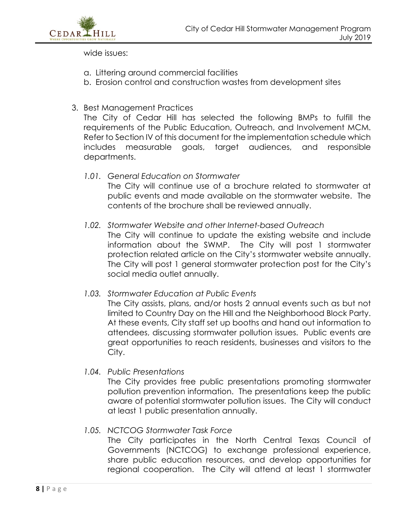

wide issues:

- a. Littering around commercial facilities
- b. Erosion control and construction wastes from development sites

#### 3. Best Management Practices

The City of Cedar Hill has selected the following BMPs to fulfill the requirements of the Public Education, Outreach, and Involvement MCM. Refer to Section IV of this document for the implementation schedule which includes measurable goals, target audiences, and responsible departments.

- *1.01. General Education on Stormwater* The City will continue use of a brochure related to stormwater at public events and made available on the stormwater website. The contents of the brochure shall be reviewed annually.
- *1.02. Stormwater Website and other Internet-based Outreach* The City will continue to update the existing website and include information about the SWMP. The City will post 1 stormwater protection related article on the City's stormwater website annually. The City will post 1 general stormwater protection post for the City's social media outlet annually.
- *1.03. Stormwater Education at Public Events*

The City assists, plans, and/or hosts 2 annual events such as but not limited to Country Day on the Hill and the Neighborhood Block Party. At these events, City staff set up booths and hand out information to attendees, discussing stormwater pollution issues. Public events are great opportunities to reach residents, businesses and visitors to the City.

*1.04. Public Presentations*

The City provides free public presentations promoting stormwater pollution prevention information. The presentations keep the public aware of potential stormwater pollution issues. The City will conduct at least 1 public presentation annually.

#### *1.05. NCTCOG Stormwater Task Force*

The City participates in the North Central Texas Council of Governments (NCTCOG) to exchange professional experience, share public education resources, and develop opportunities for regional cooperation. The City will attend at least 1 stormwater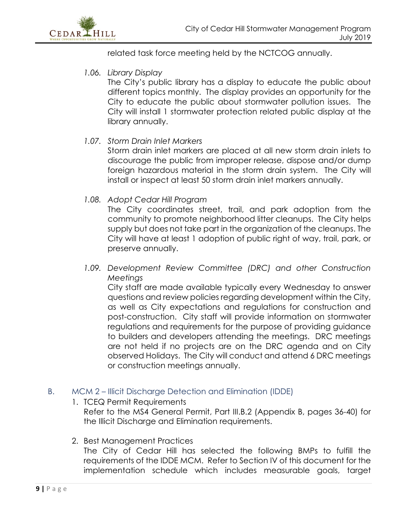related task force meeting held by the NCTCOG annually.

*1.06. Library Display*

The City's public library has a display to educate the public about different topics monthly. The display provides an opportunity for the City to educate the public about stormwater pollution issues. The City will install 1 stormwater protection related public display at the library annually.

*1.07. Storm Drain Inlet Markers*

Storm drain inlet markers are placed at all new storm drain inlets to discourage the public from improper release, dispose and/or dump foreign hazardous material in the storm drain system. The City will install or inspect at least 50 storm drain inlet markers annually.

*1.08. Adopt Cedar Hill Program*

The City coordinates street, trail, and park adoption from the community to promote neighborhood litter cleanups. The City helps supply but does not take part in the organization of the cleanups. The City will have at least 1 adoption of public right of way, trail, park, or preserve annually.

1.09. Development Review Committee (DRC) and other Construction *Meetings*

City staff are made available typically every Wednesday to answer questions and review policies regarding development within the City, as well as City expectations and regulations for construction and post-construction. City staff will provide information on stormwater regulations and requirements for the purpose of providing guidance to builders and developers attending the meetings. DRC meetings are not held if no projects are on the DRC agenda and on City observed Holidays. The City will conduct and attend 6 DRC meetings or construction meetings annually.

- <span id="page-9-0"></span>B. MCM 2 – Illicit Discharge Detection and Elimination (IDDE)
	- 1. TCEQ Permit Requirements

Refer to the MS4 General Permit, Part III.B.2 (Appendix B, pages 36-40) for the Illicit Discharge and Elimination requirements.

2. Best Management Practices

The City of Cedar Hill has selected the following BMPs to fulfill the requirements of the IDDE MCM. Refer to Section IV of this document for the implementation schedule which includes measurable goals, target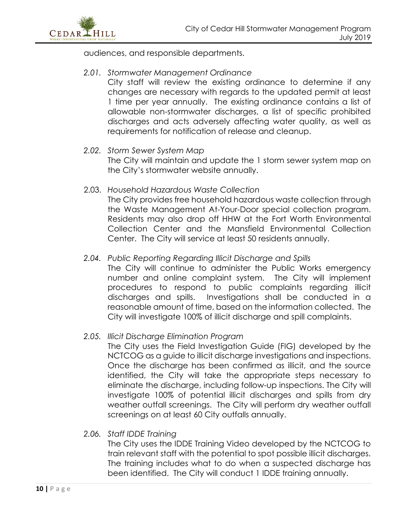

audiences, and responsible departments.

#### *2.01. Stormwater Management Ordinance*

City staff will review the existing ordinance to determine if any changes are necessary with regards to the updated permit at least 1 time per year annually. The existing ordinance contains a list of allowable non-stormwater discharges, a list of specific prohibited discharges and acts adversely affecting water quality, as well as requirements for notification of release and cleanup.

#### *2.02. Storm Sewer System Map*

The City will maintain and update the 1 storm sewer system map on the City's stormwater website annually.

2.03. *Household Hazardous Waste Collection*

The City provides free household hazardous waste collection through the Waste Management At-Your-Door special collection program. Residents may also drop off HHW at the Fort Worth Environmental Collection Center and the Mansfield Environmental Collection Center. The City will service at least 50 residents annually.

#### *2.04. Public Reporting Regarding Illicit Discharge and Spills*

The City will continue to administer the Public Works emergency number and online complaint system. The City will implement procedures to respond to public complaints regarding illicit discharges and spills. Investigations shall be conducted in a reasonable amount of time, based on the information collected. The City will investigate 100% of illicit discharge and spill complaints.

#### *2.05. Illicit Discharge Elimination Program*

The City uses the Field Investigation Guide (FIG) developed by the NCTCOG as a guide to illicit discharge investigations and inspections. Once the discharge has been confirmed as illicit, and the source identified, the City will take the appropriate steps necessary to eliminate the discharge, including follow-up inspections. The City will investigate 100% of potential illicit discharges and spills from dry weather outfall screenings. The City will perform dry weather outfall screenings on at least 60 City outfalls annually.

#### *2.06. Staff IDDE Training*

The City uses the IDDE Training Video developed by the NCTCOG to train relevant staff with the potential to spot possible illicit discharges. The training includes what to do when a suspected discharge has been identified. The City will conduct 1 IDDE training annually.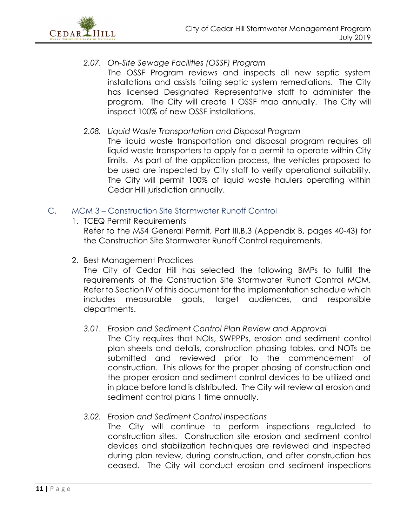

- *2.07. On-Site Sewage Facilities (OSSF) Program* The OSSF Program reviews and inspects all new septic system installations and assists failing septic system remediations. The City has licensed Designated Representative staff to administer the program. The City will create 1 OSSF map annually. The City will inspect 100% of new OSSF installations.
- *2.08. Liquid Waste Transportation and Disposal Program*

The liquid waste transportation and disposal program requires all liquid waste transporters to apply for a permit to operate within City limits. As part of the application process, the vehicles proposed to be used are inspected by City staff to verify operational suitability. The City will permit 100% of liquid waste haulers operating within Cedar Hill jurisdiction annually.

- <span id="page-11-0"></span>C. MCM 3 – Construction Site Stormwater Runoff Control
	- 1. TCEQ Permit Requirements

Refer to the MS4 General Permit, Part III.B.3 (Appendix B, pages 40-43) for the Construction Site Stormwater Runoff Control requirements.

2. Best Management Practices

The City of Cedar Hill has selected the following BMPs to fulfill the requirements of the Construction Site Stormwater Runoff Control MCM. Refer to Section IV of this document for the implementation schedule which includes measurable goals, target audiences, and responsible departments.

*3.01. Erosion and Sediment Control Plan Review and Approval*

The City requires that NOIs, SWPPPs, erosion and sediment control plan sheets and details, construction phasing tables, and NOTs be submitted and reviewed prior to the commencement of construction. This allows for the proper phasing of construction and the proper erosion and sediment control devices to be utilized and in place before land is distributed. The City will review all erosion and sediment control plans 1 time annually.

*3.02. Erosion and Sediment Control Inspections*

The City will continue to perform inspections regulated to construction sites. Construction site erosion and sediment control devices and stabilization techniques are reviewed and inspected during plan review, during construction, and after construction has ceased. The City will conduct erosion and sediment inspections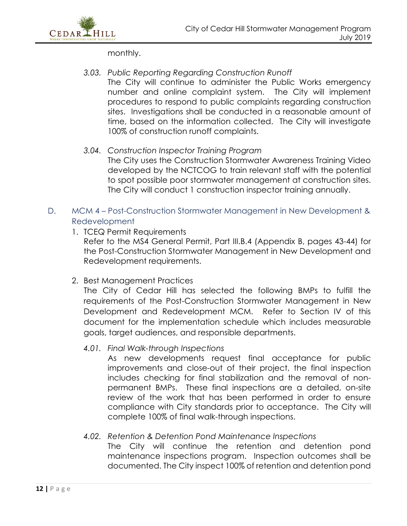

monthly.

#### *3.03. Public Reporting Regarding Construction Runoff*

The City will continue to administer the Public Works emergency number and online complaint system. The City will implement procedures to respond to public complaints regarding construction sites. Investigations shall be conducted in a reasonable amount of time, based on the information collected. The City will investigate 100% of construction runoff complaints.

#### *3.04. Construction Inspector Training Program*

The City uses the Construction Stormwater Awareness Training Video developed by the NCTCOG to train relevant staff with the potential to spot possible poor stormwater management at construction sites. The City will conduct 1 construction inspector training annually.

#### <span id="page-12-0"></span>D. MCM 4 – Post-Construction Stormwater Management in New Development & Redevelopment

#### 1. TCEQ Permit Requirements

Refer to the MS4 General Permit, Part III.B.4 (Appendix B, pages 43-44) for the Post-Construction Stormwater Management in New Development and Redevelopment requirements.

#### 2. Best Management Practices

The City of Cedar Hill has selected the following BMPs to fulfill the requirements of the Post-Construction Stormwater Management in New Development and Redevelopment MCM. Refer to Section IV of this document for the implementation schedule which includes measurable goals, target audiences, and responsible departments.

#### *4.01. Final Walk-through Inspections*

As new developments request final acceptance for public improvements and close-out of their project, the final inspection includes checking for final stabilization and the removal of nonpermanent BMPs. These final inspections are a detailed, on-site review of the work that has been performed in order to ensure compliance with City standards prior to acceptance. The City will complete 100% of final walk-through inspections.

#### *4.02. Retention & Detention Pond Maintenance Inspections*

The City will continue the retention and detention pond maintenance inspections program. Inspection outcomes shall be documented. The City inspect 100% of retention and detention pond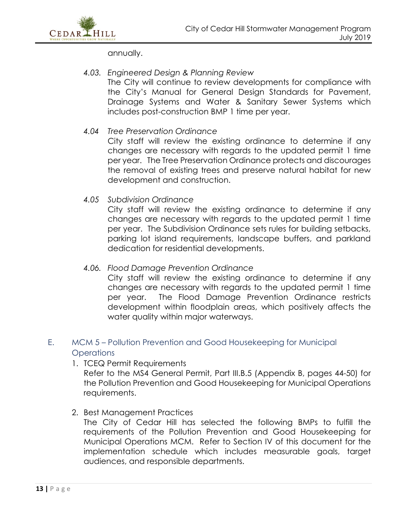

annually.

#### *4.03. Engineered Design & Planning Review* The City will continue to review developments for compliance with the City's Manual for General Design Standards for Pavement, Drainage Systems and Water & Sanitary Sewer Systems which includes post-construction BMP 1 time per year.

#### *4.04 Tree Preservation Ordinance*

City staff will review the existing ordinance to determine if any changes are necessary with regards to the updated permit 1 time per year. The Tree Preservation Ordinance protects and discourages the removal of existing trees and preserve natural habitat for new development and construction.

*4.05 Subdivision Ordinance*

City staff will review the existing ordinance to determine if any changes are necessary with regards to the updated permit 1 time per year. The Subdivision Ordinance sets rules for building setbacks, parking lot island requirements, landscape buffers, and parkland dedication for residential developments.

#### *4.06. Flood Damage Prevention Ordinance*

City staff will review the existing ordinance to determine if any changes are necessary with regards to the updated permit 1 time per year. The Flood Damage Prevention Ordinance restricts development within floodplain areas, which positively affects the water quality within major waterways.

#### <span id="page-13-0"></span>E. MCM 5 – Pollution Prevention and Good Housekeeping for Municipal **Operations**

1. TCEQ Permit Requirements

Refer to the MS4 General Permit, Part III.B.5 (Appendix B, pages 44-50) for the Pollution Prevention and Good Housekeeping for Municipal Operations requirements.

2. Best Management Practices

The City of Cedar Hill has selected the following BMPs to fulfill the requirements of the Pollution Prevention and Good Housekeeping for Municipal Operations MCM. Refer to Section IV of this document for the implementation schedule which includes measurable goals, target audiences, and responsible departments.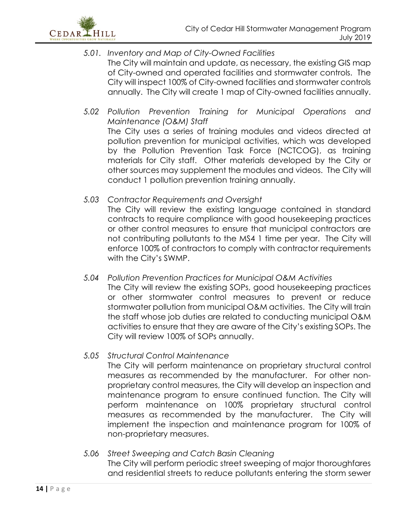

- *5.01. Inventory and Map of City-Owned Facilities* The City will maintain and update, as necessary, the existing GIS map of City-owned and operated facilities and stormwater controls. The City will inspect 100% of City-owned facilities and stormwater controls annually. The City will create 1 map of City-owned facilities annually.
- *5.02 Pollution Prevention Training for Municipal Operations and Maintenance (O&M) Staff* The City uses a series of training modules and videos directed at pollution prevention for municipal activities, which was developed by the Pollution Prevention Task Force (NCTCOG), as training materials for City staff. Other materials developed by the City or other sources may supplement the modules and videos. The City will conduct 1 pollution prevention training annually.
- *5.03 Contractor Requirements and Oversight*

The City will review the existing language contained in standard contracts to require compliance with good housekeeping practices or other control measures to ensure that municipal contractors are not contributing pollutants to the MS4 1 time per year. The City will enforce 100% of contractors to comply with contractor requirements with the City's SWMP.

*5.04 Pollution Prevention Practices for Municipal O&M Activities* The City will review the existing SOPs, good housekeeping practices or other stormwater control measures to prevent or reduce stormwater pollution from municipal O&M activities. The City will train the staff whose job duties are related to conducting municipal O&M activities to ensure that they are aware of the City's existing SOPs. The City will review 100% of SOPs annually.

#### *5.05 Structural Control Maintenance*

The City will perform maintenance on proprietary structural control measures as recommended by the manufacturer. For other nonproprietary control measures, the City will develop an inspection and maintenance program to ensure continued function. The City will perform maintenance on 100% proprietary structural control measures as recommended by the manufacturer. The City will implement the inspection and maintenance program for 100% of non-proprietary measures.

*5.06 Street Sweeping and Catch Basin Cleaning* The City will perform periodic street sweeping of major thoroughfares and residential streets to reduce pollutants entering the storm sewer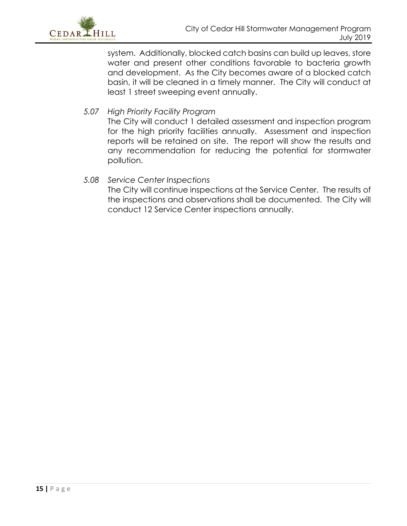

system. Additionally, blocked catch basins can build up leaves, store water and present other conditions favorable to bacteria growth and development. As the City becomes aware of a blocked catch basin, it will be cleaned in a timely manner. The City will conduct at least 1 street sweeping event annually.

*5.07 High Priority Facility Program*

The City will conduct 1 detailed assessment and inspection program for the high priority facilities annually. Assessment and inspection reports will be retained on site. The report will show the results and any recommendation for reducing the potential for stormwater pollution.

#### *5.08 Service Center Inspections*

The City will continue inspections at the Service Center. The results of the inspections and observations shall be documented. The City will conduct 12 Service Center inspections annually.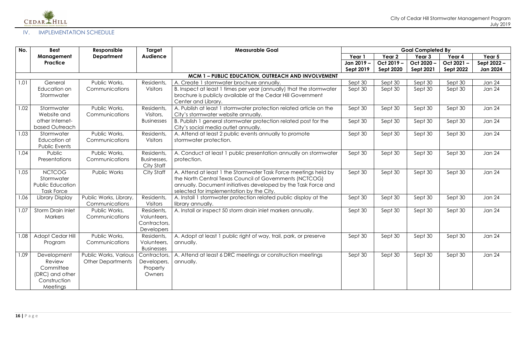

### <span id="page-16-0"></span>IV. IMPLEMENTATION SCHEDULE

| No.  | <b>Best</b>                   | Responsible                                       | Target                      | <b>Measurable Goal</b>                                                  | <b>Goal Completed By</b> |                   |                   |                  |                 |
|------|-------------------------------|---------------------------------------------------|-----------------------------|-------------------------------------------------------------------------|--------------------------|-------------------|-------------------|------------------|-----------------|
|      | Management                    | <b>Department</b>                                 | <b>Audience</b>             |                                                                         | Year 1                   | Year <sub>2</sub> | Year <sub>3</sub> | Year 4           | Year 5          |
|      | <b>Practice</b>               |                                                   |                             |                                                                         | Jan 2019 –               | Oct 2019 -        | Oct 2020-         | Oct 2021-        | Sept 2022 -     |
|      |                               |                                                   |                             |                                                                         | <b>Sept 2019</b>         | <b>Sept 2020</b>  | <b>Sept 2021</b>  | <b>Sept 2022</b> | <b>Jan 2024</b> |
|      |                               |                                                   |                             | MCM 1 - PUBLIC EDUCATION, OUTREACH AND INVOLVEMENT                      |                          |                   |                   |                  |                 |
| 1.01 | General                       | Public Works,                                     | Residents,                  | A. Create 1 stormwater brochure annually.                               | Sept 30                  | Sept 30           | Sept 30           | Sept 30          | Jan 24          |
|      | Education on                  | Communications                                    | Visitors                    | B. Inspect at least 1 times per year (annually) that the stormwater     | Sept 30                  | Sept 30           | Sept 30           | Sept 30          | <b>Jan 24</b>   |
|      | Stormwater                    |                                                   |                             | brochure is publicly available at the Cedar Hill Government             |                          |                   |                   |                  |                 |
|      |                               |                                                   |                             | Center and Library.                                                     |                          |                   |                   |                  |                 |
| 1.02 | Stormwater                    | Public Works,                                     | Residents,                  | A. Publish at least 1 stormwater protection related article on the      | Sept 30                  | Sept 30           | Sept 30           | Sept 30          | <b>Jan 24</b>   |
|      | Website and                   | Communications                                    | Visitors,                   | City's stormwater website annually.                                     |                          |                   |                   |                  |                 |
|      | other Internet-               |                                                   | <b>Businesses</b>           | B. Publish 1 general stormwater protection related post for the         | Sept 30                  | Sept 30           | Sept 30           | Sept 30          | <b>Jan 24</b>   |
|      | based Outreach                |                                                   |                             | City's social media outlet annually.                                    |                          |                   |                   |                  |                 |
| 1.03 | Stormwater                    | Public Works,                                     | Residents,                  | A. Attend at least 2 public events annually to promote                  | Sept 30                  | Sept 30           | Sept 30           | Sept 30          | <b>Jan 24</b>   |
|      | Education at<br>Public Events | Communications                                    | Visitors                    | stormwater protection.                                                  |                          |                   |                   |                  |                 |
| 1.04 | Public                        | Public Works,                                     | Residents,                  | A. Conduct at least 1 public presentation annually on stormwater        | Sept 30                  | Sept 30           | Sept 30           | Sept 30          | <b>Jan 24</b>   |
|      | Presentations                 | Communications                                    | Businesses,                 | protection.                                                             |                          |                   |                   |                  |                 |
|      |                               |                                                   | City Staff                  |                                                                         |                          |                   |                   |                  |                 |
| 1.05 | <b>NCTCOG</b>                 | Public Works                                      | City Staff                  | A. Attend at least 1 the Stormwater Task Force meetings held by         | Sept 30                  | Sept 30           | Sept 30           | Sept 30          | <b>Jan 24</b>   |
|      | Stormwater                    |                                                   |                             | the North Central Texas Council of Governments (NCTCOG)                 |                          |                   |                   |                  |                 |
|      | <b>Public Education</b>       |                                                   |                             | annually. Document initiatives developed by the Task Force and          |                          |                   |                   |                  |                 |
|      | <b>Task Force</b>             |                                                   |                             | selected for implementation by the City.                                |                          |                   |                   |                  |                 |
| 1.06 | Library Display               | Public Works, Library,                            | Residents,                  | A. Install 1 stormwater protection related public display at the        | Sept 30                  | Sept 30           | Sept 30           | Sept 30          | <b>Jan 24</b>   |
|      |                               | Communications                                    | <b>Visitors</b>             | library annually.                                                       |                          |                   |                   |                  |                 |
| 1.07 | <b>Storm Drain Inlet</b>      | Public Works,                                     | Residents,                  | A. Install or inspect 50 storm drain inlet markers annually.            | Sept 30                  | Sept 30           | Sept 30           | Sept 30          | <b>Jan 24</b>   |
|      | <b>Markers</b>                | Communications                                    | Volunteers,                 |                                                                         |                          |                   |                   |                  |                 |
|      |                               |                                                   | Contractors,                |                                                                         |                          |                   |                   |                  |                 |
|      |                               |                                                   | Developers                  |                                                                         |                          |                   |                   |                  |                 |
| 1.08 | <b>Adopt Cedar Hill</b>       | Public Works,                                     | Residents,                  | A. Adopt at least 1 public right of way, trail, park, or preserve       | Sept 30                  | Sept 30           | Sept 30           | Sept 30          | Jan 24          |
|      | Program                       | Communications                                    | Volunteers,                 | annually.                                                               |                          |                   |                   |                  |                 |
| 1.09 |                               |                                                   | <b>Businesses</b>           |                                                                         |                          |                   |                   |                  | <b>Jan 24</b>   |
|      | Development<br><b>Review</b>  | Public Works, Various<br><b>Other Departments</b> | Contractors,<br>Developers, | A. Attend at least 6 DRC meetings or construction meetings<br>annually. | Sept 30                  | Sept 30           | Sept 30           | Sept 30          |                 |
|      | Committee                     |                                                   | Property                    |                                                                         |                          |                   |                   |                  |                 |
|      | (DRC) and other               |                                                   | Owners                      |                                                                         |                          |                   |                   |                  |                 |
|      | Construction                  |                                                   |                             |                                                                         |                          |                   |                   |                  |                 |
|      | Meetings                      |                                                   |                             |                                                                         |                          |                   |                   |                  |                 |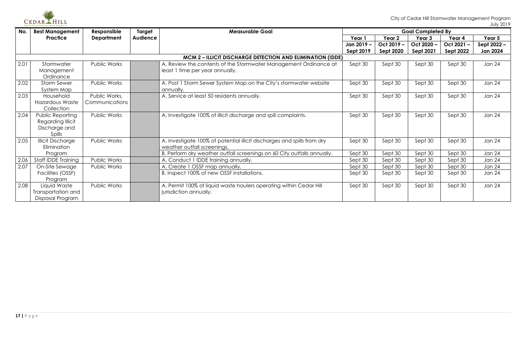

| No.  | <b>Best Management</b>                                            | Responsible       | Target          | <b>Measurable Goal</b>                                                  | <b>Goal Completed By</b> |                  |                  |                  |                 |  |  |  |
|------|-------------------------------------------------------------------|-------------------|-----------------|-------------------------------------------------------------------------|--------------------------|------------------|------------------|------------------|-----------------|--|--|--|
|      | <b>Practice</b>                                                   | <b>Department</b> | <b>Audience</b> |                                                                         | Year 1                   | Year 2           | Year 3           | Year 4           | Year 5          |  |  |  |
|      |                                                                   |                   |                 |                                                                         | Jan 2019 -               | Oct 2019 -       | Oct 2020 -       | Oct 2021-        | Sept 2022 -     |  |  |  |
|      |                                                                   |                   |                 |                                                                         | Sept 2019                | <b>Sept 2020</b> | <b>Sept 2021</b> | <b>Sept 2022</b> | <b>Jan 2024</b> |  |  |  |
|      | <b>MCM 2 - ILLICIT DISCHARGE DETECTION AND ELIMINATION (IDDE)</b> |                   |                 |                                                                         |                          |                  |                  |                  |                 |  |  |  |
| 2.01 | Stormwater                                                        | Public Works      |                 | A. Review the contents of the Stormwater Management Ordinance at        | Sept 30                  | Sept 30          | Sept 30          | Sept 30          | Jan 24          |  |  |  |
|      | Management                                                        |                   |                 | least 1 time per year annually.                                         |                          |                  |                  |                  |                 |  |  |  |
|      | Ordinance                                                         |                   |                 |                                                                         |                          |                  |                  |                  |                 |  |  |  |
| 2.02 | <b>Storm Sewer</b>                                                | Public Works      |                 | A. Post 1 Storm Sewer System Map on the City's stormwater website       | Sept 30                  | Sept 30          | Sept 30          | Sept 30          | <b>Jan 24</b>   |  |  |  |
|      | System Map                                                        |                   |                 | annually.                                                               |                          |                  |                  |                  |                 |  |  |  |
| 2.03 | Household                                                         | Public Works,     |                 | A. Service at least 50 residents annually.                              | Sept 30                  | Sept 30          | Sept 30          | Sept 30          | Jan 24          |  |  |  |
|      | <b>Hazardous Waste</b>                                            | Communications    |                 |                                                                         |                          |                  |                  |                  |                 |  |  |  |
|      | Collection                                                        |                   |                 |                                                                         |                          |                  |                  |                  |                 |  |  |  |
| 2.04 | Public Reporting                                                  | Public Works      |                 | A. Investigate 100% of illicit discharge and spill complaints.          | Sept 30                  | Sept 30          | Sept 30          | Sept 30          | Jan 24          |  |  |  |
|      | Regarding Illicit                                                 |                   |                 |                                                                         |                          |                  |                  |                  |                 |  |  |  |
|      | Discharge and                                                     |                   |                 |                                                                         |                          |                  |                  |                  |                 |  |  |  |
|      | Spills                                                            |                   |                 |                                                                         |                          |                  |                  |                  |                 |  |  |  |
| 2.05 | <b>Illicit Discharge</b>                                          | Public Works      |                 | A. Investigate 100% of potential illicit discharges and spills from dry | Sept 30                  | Sept 30          | Sept 30          | Sept 30          | Jan 24          |  |  |  |
|      | Elimination                                                       |                   |                 | weather outfall screenings.                                             |                          |                  |                  |                  |                 |  |  |  |
|      | Program                                                           |                   |                 | B. Perform dry weather outfall screenings on 60 City outfalls annually. | Sept 30                  | Sept 30          | Sept 30          | Sept 30          | <b>Jan 24</b>   |  |  |  |
| 2.06 | Staff IDDE Training                                               | Public Works      |                 | A. Conduct 1 IDDE training annually.                                    | Sept 30                  | Sept 30          | Sept 30          | Sept 30          | Jan 24          |  |  |  |
| 2.07 | On-Site Sewage                                                    | Public Works      |                 | A. Create 1 OSSF map annually.                                          | Sept 30                  | Sept 30          | Sept 30          | Sept 30          | <b>Jan 24</b>   |  |  |  |
|      | Facilities (OSSF)                                                 |                   |                 | B. Inspect 100% of new OSSF installations.                              | Sept 30                  | Sept 30          | Sept 30          | Sept 30          | Jan 24          |  |  |  |
|      | Program                                                           |                   |                 |                                                                         |                          |                  |                  |                  |                 |  |  |  |
| 2.08 | Liquid Waste                                                      | Public Works      |                 | A. Permit 100% of liquid waste haulers operating within Cedar Hill      | Sept 30                  | Sept 30          | Sept 30          | Sept 30          | Jan 24          |  |  |  |
|      | Transportation and                                                |                   |                 | jurisdiction annually.                                                  |                          |                  |                  |                  |                 |  |  |  |
|      | Disposal Program                                                  |                   |                 |                                                                         |                          |                  |                  |                  |                 |  |  |  |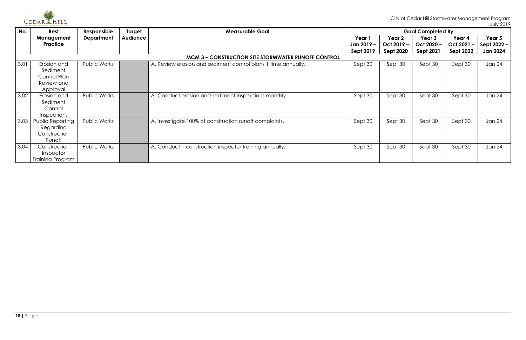

| No.  | <b>Best</b>                                                | Responsible         | Target          | <b>Measurable Goal</b>                                        | <b>Goal Completed By</b> |                  |                  |                  |             |  |  |
|------|------------------------------------------------------------|---------------------|-----------------|---------------------------------------------------------------|--------------------------|------------------|------------------|------------------|-------------|--|--|
|      | Management                                                 | <b>Department</b>   | <b>Audience</b> |                                                               | Year 1                   | Year 2           | Year 3           | Year 4           | Year 5      |  |  |
|      | Practice                                                   |                     |                 |                                                               | Jan 2019 –               | Oct 2019 -       | Oct 2020 -       | Oct 2021-        | Sept 2022 - |  |  |
|      |                                                            |                     |                 |                                                               | <b>Sept 2019</b>         | <b>Sept 2020</b> | <b>Sept 2021</b> | <b>Sept 2022</b> | Jan 2024    |  |  |
|      | <b>MCM 3 - CONSTRUCTION SITE STORMWATER RUNOFF CONTROL</b> |                     |                 |                                                               |                          |                  |                  |                  |             |  |  |
| 3.01 | Erosion and                                                | Public Works        |                 | A. Review erosion and sediment control plans 1 time annually. | Sept 30                  | Sept 30          | Sept 30          | Sept 30          | Jan 24      |  |  |
|      | Sediment                                                   |                     |                 |                                                               |                          |                  |                  |                  |             |  |  |
|      | Control Plan                                               |                     |                 |                                                               |                          |                  |                  |                  |             |  |  |
|      | Review and                                                 |                     |                 |                                                               |                          |                  |                  |                  |             |  |  |
|      | Approval                                                   |                     |                 |                                                               |                          |                  |                  |                  |             |  |  |
| 3.02 | Erosion and                                                | <b>Public Works</b> |                 | A. Conduct erosion and sediment inspections monthly.          | Sept 30                  | Sept 30          | Sept 30          | Sept 30          | Jan 24      |  |  |
|      | Sediment                                                   |                     |                 |                                                               |                          |                  |                  |                  |             |  |  |
|      | Control                                                    |                     |                 |                                                               |                          |                  |                  |                  |             |  |  |
|      | <b>Inspections</b>                                         |                     |                 |                                                               |                          |                  |                  |                  |             |  |  |
| 3.03 | Public Reporting                                           | <b>Public Works</b> |                 | A. Investigate 100% of construction runoff complaints.        | Sept 30                  | Sept 30          | Sept 30          | Sept 30          | Jan 24      |  |  |
|      | Regarding                                                  |                     |                 |                                                               |                          |                  |                  |                  |             |  |  |
|      | Construction                                               |                     |                 |                                                               |                          |                  |                  |                  |             |  |  |
|      | Runoff                                                     |                     |                 |                                                               |                          |                  |                  |                  |             |  |  |
| 3.04 | Construction                                               | <b>Public Works</b> |                 | A. Conduct 1 construction inspector training annually.        | Sept 30                  | Sept 30          | Sept 30          | Sept 30          | Jan 24      |  |  |
|      | Inspector                                                  |                     |                 |                                                               |                          |                  |                  |                  |             |  |  |
|      | Training Program                                           |                     |                 |                                                               |                          |                  |                  |                  |             |  |  |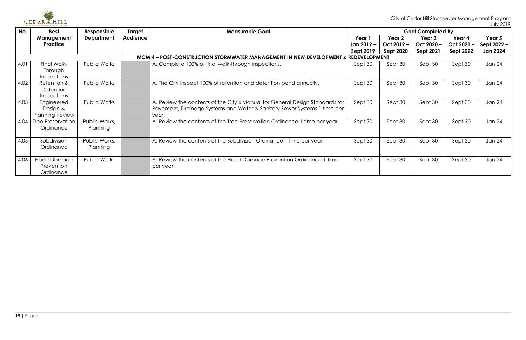

| No.  | <b>Best</b>                                                                        | Responsible         | Target          | <b>Measurable Goal</b>                                                       | <b>Goal Completed By</b> |                  |                  |                  |                 |
|------|------------------------------------------------------------------------------------|---------------------|-----------------|------------------------------------------------------------------------------|--------------------------|------------------|------------------|------------------|-----------------|
|      | Management                                                                         | <b>Department</b>   | <b>Audience</b> |                                                                              | Year 1                   | Year 2           | Year 3           | Year 4           | Year 5          |
|      | Practice                                                                           |                     |                 |                                                                              | Jan 2019 –               | Oct 2019-        | Oct 2020-        | Oct 2021 -       | Sept $2022 -$   |
|      |                                                                                    |                     |                 |                                                                              | <b>Sept 2019</b>         | <b>Sept 2020</b> | <b>Sept 2021</b> | <b>Sept 2022</b> | <b>Jan 2024</b> |
|      | MCM 4 – POST-CONSTRUCTION STORMWATER MANAGEMENT IN NEW DEVELOPMENT & REDEVELOPMENT |                     |                 |                                                                              |                          |                  |                  |                  |                 |
| 4.01 | Final Walk-                                                                        | <b>Public Works</b> |                 | A. Complete 100% of final walk-through inspections.                          | Sept 30                  | Sept 30          | Sept 30          | Sept 30          | Jan 24          |
|      | <b>Through</b>                                                                     |                     |                 |                                                                              |                          |                  |                  |                  |                 |
|      | <b>Inspections</b>                                                                 |                     |                 |                                                                              |                          |                  |                  |                  |                 |
| 4.02 | Retention &                                                                        | <b>Public Works</b> |                 | A. The City inspect 100% of retention and detention pond annually.           | Sept 30                  | Sept 30          | Sept 30          | Sept 30          | <b>Jan 24</b>   |
|      | <b>Detention</b>                                                                   |                     |                 |                                                                              |                          |                  |                  |                  |                 |
|      | <b>Inspections</b>                                                                 |                     |                 |                                                                              |                          |                  |                  |                  |                 |
| 4.03 | Engineered                                                                         | <b>Public Works</b> |                 | A. Review the contents of the City's Manual for General Design Standards for | Sept 30                  | Sept 30          | Sept 30          | Sept 30          | Jan 24          |
|      | Design &                                                                           |                     |                 | Pavement, Drainage Systems and Water & Sanitary Sewer Systems 1 time per     |                          |                  |                  |                  |                 |
|      | <b>Planning Review</b>                                                             |                     |                 | year.                                                                        |                          |                  |                  |                  |                 |
| 4.04 | <b>Tree Preservation</b>                                                           | Public Works,       |                 | A. Review the contents of the Tree Preservation Ordinance 1 time per year.   | Sept 30                  | Sept 30          | Sept 30          | Sept 30          | Jan 24          |
|      | Ordinance                                                                          | Planning            |                 |                                                                              |                          |                  |                  |                  |                 |
|      |                                                                                    |                     |                 |                                                                              |                          |                  |                  |                  |                 |
| 4.05 | Subdivision                                                                        | Public Works,       |                 | A. Review the contents of the Subdivision Ordinance 1 time per year.         | Sept 30                  | Sept 30          | Sept 30          | Sept 30          | Jan 24          |
|      | Ordinance                                                                          | Planning            |                 |                                                                              |                          |                  |                  |                  |                 |
|      |                                                                                    |                     |                 |                                                                              |                          |                  |                  |                  |                 |
| 4.06 | Flood Damage                                                                       | Public Works        |                 | A. Review the contents of the Flood Damage Prevention Ordinance 1 time       | Sept 30                  | Sept 30          | Sept 30          | Sept 30          | <b>Jan 24</b>   |
|      | Prevention                                                                         |                     |                 | per year.                                                                    |                          |                  |                  |                  |                 |
|      | Ordinance                                                                          |                     |                 |                                                                              |                          |                  |                  |                  |                 |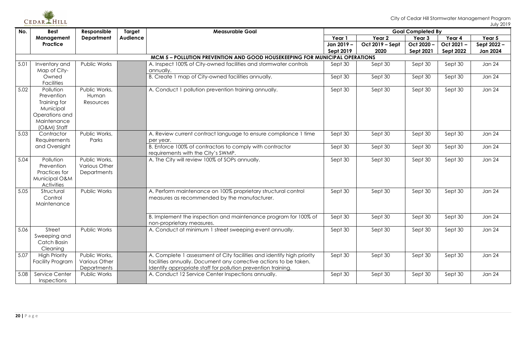

| No.  | <b>Best</b>                                                                                            | Responsible                                                 | Target          | <b>Measurable Goal</b>                                                                                                                                                                                       |                  | <b>Goal Completed By</b> |                  |                  |                 |  |  |  |  |
|------|--------------------------------------------------------------------------------------------------------|-------------------------------------------------------------|-----------------|--------------------------------------------------------------------------------------------------------------------------------------------------------------------------------------------------------------|------------------|--------------------------|------------------|------------------|-----------------|--|--|--|--|
|      | Management                                                                                             | <b>Department</b>                                           | <b>Audience</b> |                                                                                                                                                                                                              | Year 1           | Year 2                   | Year 3           | Year 4           | Year 5          |  |  |  |  |
|      | <b>Practice</b>                                                                                        |                                                             |                 |                                                                                                                                                                                                              | Jan 2019 –       | Oct 2019 - Sept          | Oct 2020 -       | Oct 2021 -       | Sept 2022 -     |  |  |  |  |
|      |                                                                                                        |                                                             |                 |                                                                                                                                                                                                              | <b>Sept 2019</b> | 2020                     | <b>Sept 2021</b> | <b>Sept 2022</b> | <b>Jan 2024</b> |  |  |  |  |
|      | MCM 5 - POLLUTION PREVENTION AND GOOD HOUSEKEEPING FOR MUNICIPAL OPERATIONS                            |                                                             |                 |                                                                                                                                                                                                              |                  |                          |                  |                  |                 |  |  |  |  |
| 5.01 | Inventory and<br>Map of City-                                                                          | Public Works                                                |                 | A. Inspect 100% of City-owned facilities and stormwater controls<br>annually.                                                                                                                                | Sept 30          | Sept 30                  | Sept 30          | Sept 30          | Jan 24          |  |  |  |  |
|      | Owned<br><b>Facilities</b>                                                                             |                                                             |                 | B. Create 1 map of City-owned facilities annually.                                                                                                                                                           | Sept 30          | Sept 30                  | Sept 30          | Sept 30          | <b>Jan 24</b>   |  |  |  |  |
| 5.02 | Pollution<br>Prevention<br>Training for<br>Municipal<br>Operations and<br>Maintenance<br>$(O&M)$ Staff | Public Works,<br>Human<br>Resources                         |                 | A. Conduct 1 pollution prevention training annually.                                                                                                                                                         | Sept 30          | Sept 30                  | Sept 30          | Sept 30          | <b>Jan 24</b>   |  |  |  |  |
| 5.03 | Contractor<br>Requirements                                                                             | Public Works,<br>Parks                                      |                 | A. Review current contract language to ensure compliance 1 time<br>per year.                                                                                                                                 | Sept 30          | Sept 30                  | Sept 30          | Sept 30          | <b>Jan 24</b>   |  |  |  |  |
|      | and Oversight                                                                                          |                                                             |                 | B. Enforce 100% of contractors to comply with contractor<br>requirements with the City's SWMP.                                                                                                               | Sept 30          | Sept 30                  | Sept 30          | Sept 30          | <b>Jan 24</b>   |  |  |  |  |
| 5.04 | Pollution<br>Prevention<br>Practices for<br>Municipal O&M<br><b>Activities</b>                         | Public Works,<br>Various Other<br><b>Departments</b>        |                 | A. The City will review 100% of SOPs annually.                                                                                                                                                               | Sept 30          | Sept 30                  | Sept 30          | Sept 30          | <b>Jan 24</b>   |  |  |  |  |
| 5.05 | Structural<br>Control<br>Maintenance                                                                   | Public Works                                                |                 | A. Perform maintenance on 100% proprietary structural control<br>measures as recommended by the manufacturer.                                                                                                | Sept 30          | Sept 30                  | Sept 30          | Sept 30          | <b>Jan 24</b>   |  |  |  |  |
|      |                                                                                                        |                                                             |                 | B. Implement the inspection and maintenance program for 100% of<br>non-proprietary measures.                                                                                                                 | Sept 30          | Sept 30                  | Sept 30          | Sept 30          | <b>Jan 24</b>   |  |  |  |  |
| 5.06 | Street<br>Sweeping and<br>Catch Basin<br>Cleaning                                                      | Public Works                                                |                 | A. Conduct at minimum 1 street sweeping event annually.                                                                                                                                                      | Sept 30          | Sept 30                  | Sept 30          | Sept 30          | <b>Jan 24</b>   |  |  |  |  |
| 5.07 | <b>High Priority</b><br><b>Facility Program</b>                                                        | Public Works,<br><b>Various Other</b><br><b>Departments</b> |                 | A. Complete 1 assessment of City facilities and identify high priority<br>facilities annually. Document any corrective actions to be taken.<br>Identify appropriate staff for pollution prevention training. | Sept 30          | Sept 30                  | Sept 30          | Sept 30          | <b>Jan 24</b>   |  |  |  |  |
| 5.08 | <b>Service Center</b><br><b>Inspections</b>                                                            | Public Works                                                |                 | A. Conduct 12 Service Center Inspections annually.                                                                                                                                                           | Sept 30          | Sept 30                  | Sept 30          | Sept 30          | Jan 24          |  |  |  |  |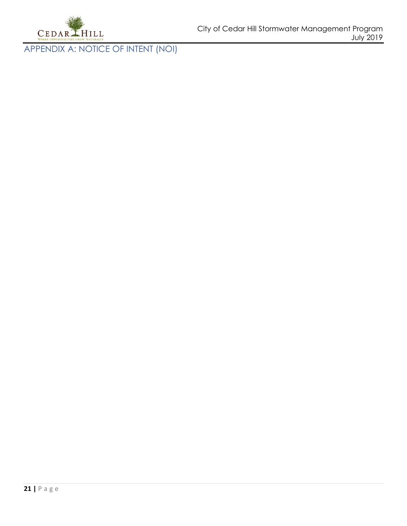

<span id="page-21-0"></span>APPENDIX A: NOTICE OF INTENT (NOI)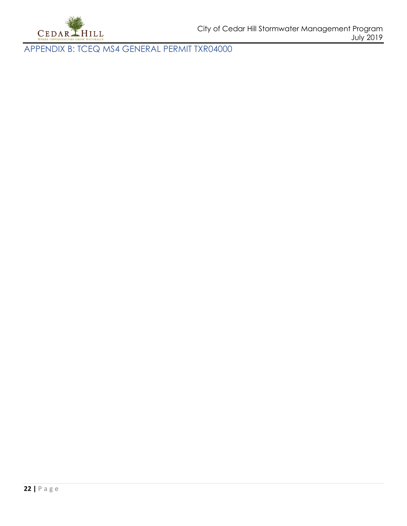

<span id="page-22-0"></span>APPENDIX B: TCEQ MS4 GENERAL PERMIT TXR04000